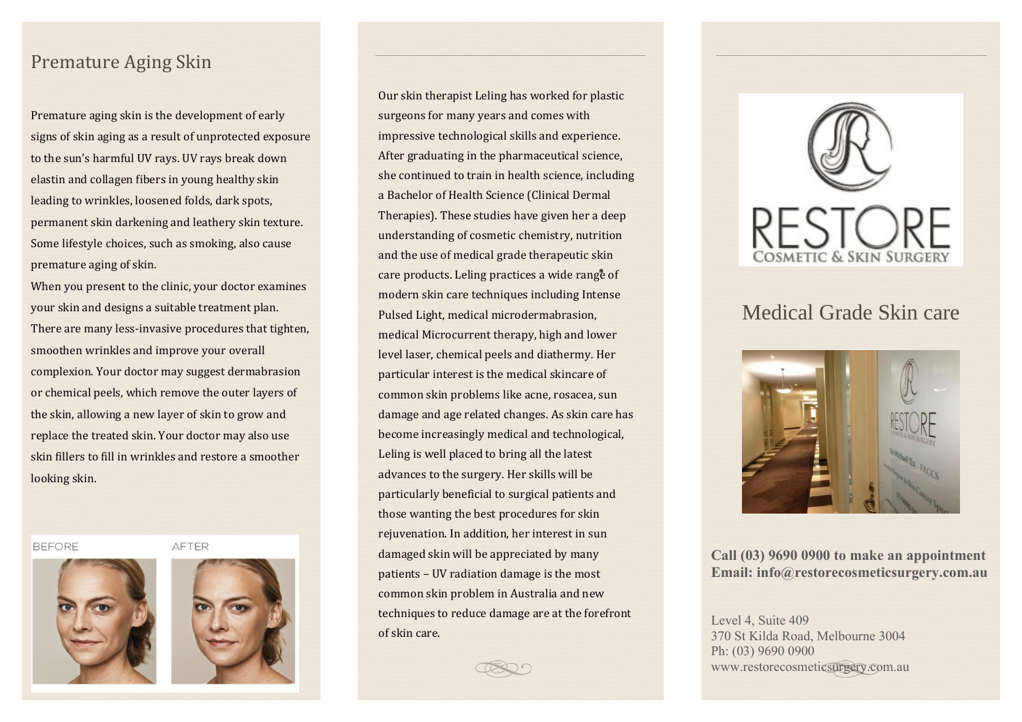## Premature Aging Skin

Premature aging skin is the development of early signs of skin aging as a result of unprotected exposure to the sun's harmful UV rays. UV rays break down elastin and collagen fibers in young healthy skin leading to wrinkles, loosened folds, dark spots, permanent skin darkening and leathery skin texture. Some lifestyle choices, such as smoking, also cause premature aging of skin.

When you present to the clinic, your doctor examines your skin and designs a suitable treatment plan. There are many less-invasive procedures that tighten, smoothen wrinkles and improve your overall complexion. Your doctor may suggest dermabrasion or chemical peels, which remove the outer layers of the skin, allowing a new layer of skin to grow and replace the treated skin. Your doctor may also use skin fillers to fill in wrinkles and restore a smoother looking skin.

**BEFORE** 





Our skin therapist Leling has worked for plastic surgeons for many years and comes with impressive technological skills and experience. After graduating in the pharmaceutical science, she continued to train in health science, including a Bachelor of Health Science (Clinical Dermal Therapies). These studies have given her a deep understanding of cosmetic chemistry, nutrition and the use of medical grade therapeutic skin care products. Leling practices a wide range of modern skin care techniques including Intense Pulsed Light, medical microdermabrasion, medical Microcurrent therapy, high and lower level laser, chemical peels and diathermy. Her particular interest is the medical skincare of common skin problems like acne, rosacea, sun damage and age related changes. As skin care has become increasingly medical and technological, Leling is well placed to bring all the latest advances to the surgery. Her skills will be particularly beneficial to surgical patients and those wanting the best procedures for skin rejuvenation. In addition, her interest in sun damaged skin will be appreciated by many patients – UV radiation damage is the most common skin problem in Australia and new techniques to reduce damage are at the forefront of skin care.



# Medical Grade Skin care



**Call (03) 9690 0900 to make an appointment Email: info@restorecosmeticsurgery.com.au**

Level 4, Suite 409 370 St Kilda Road, Melbourne 3004 Ph: (03) 9690 0900 www.restorecosmeticsurgery.com.au